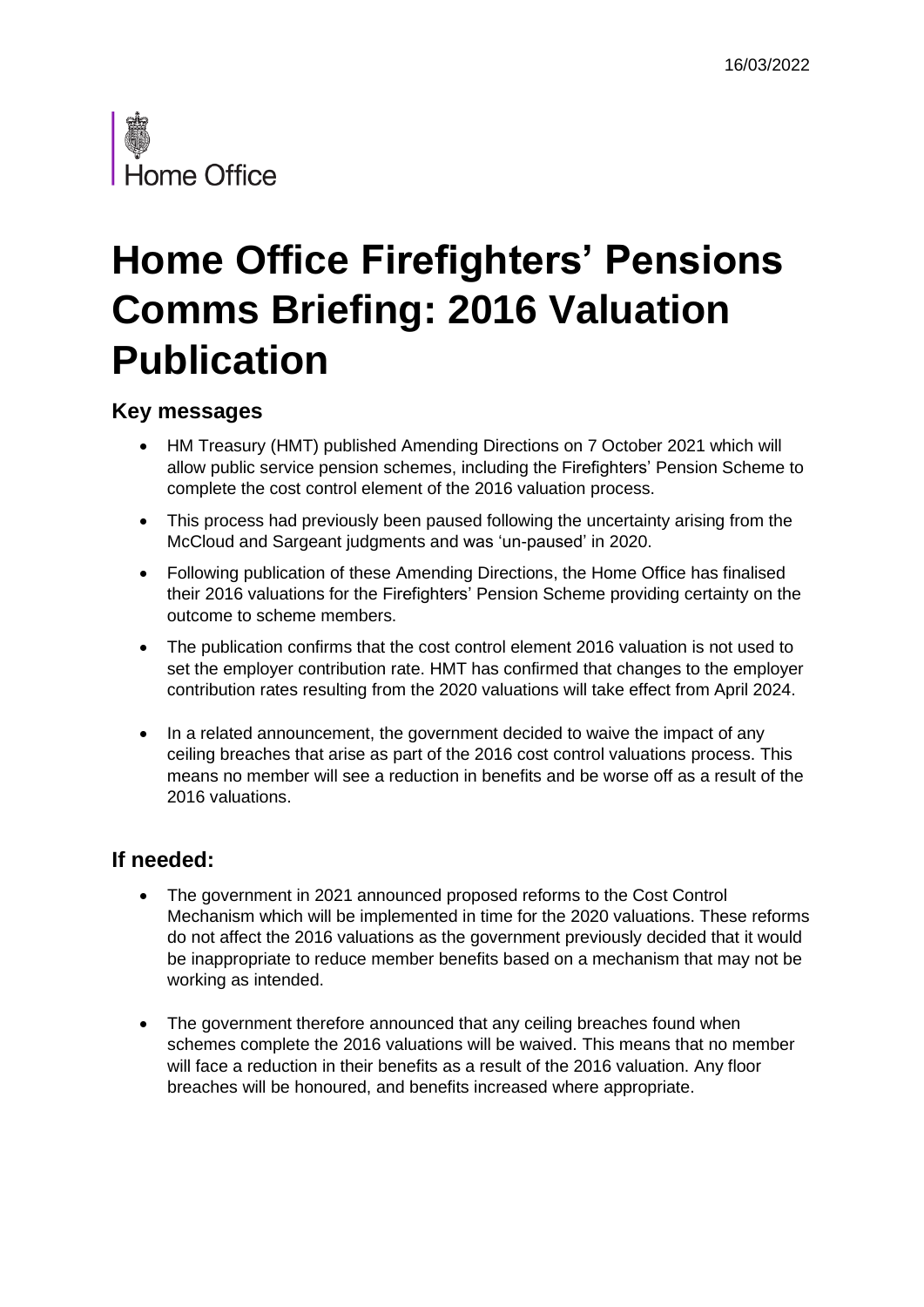

# **Home Office Firefighters' Pensions Comms Briefing: 2016 Valuation Publication**

## **Key messages**

- HM Treasury (HMT) published Amending Directions on 7 October 2021 which will allow public service pension schemes, including the Firefighters' Pension Scheme to complete the cost control element of the 2016 valuation process.
- This process had previously been paused following the uncertainty arising from the McCloud and Sargeant judgments and was 'un-paused' in 2020.
- Following publication of these Amending Directions, the Home Office has finalised their 2016 valuations for the Firefighters' Pension Scheme providing certainty on the outcome to scheme members.
- The publication confirms that the cost control element 2016 valuation is not used to set the employer contribution rate. HMT has confirmed that changes to the employer contribution rates resulting from the 2020 valuations will take effect from April 2024.
- In a related announcement, the government decided to waive the impact of any ceiling breaches that arise as part of the 2016 cost control valuations process. This means no member will see a reduction in benefits and be worse off as a result of the 2016 valuations.

### **If needed:**

- The government in 2021 announced proposed reforms to the Cost Control Mechanism which will be implemented in time for the 2020 valuations. These reforms do not affect the 2016 valuations as the government previously decided that it would be inappropriate to reduce member benefits based on a mechanism that may not be working as intended.
- The government therefore announced that any ceiling breaches found when schemes complete the 2016 valuations will be waived. This means that no member will face a reduction in their benefits as a result of the 2016 valuation. Any floor breaches will be honoured, and benefits increased where appropriate.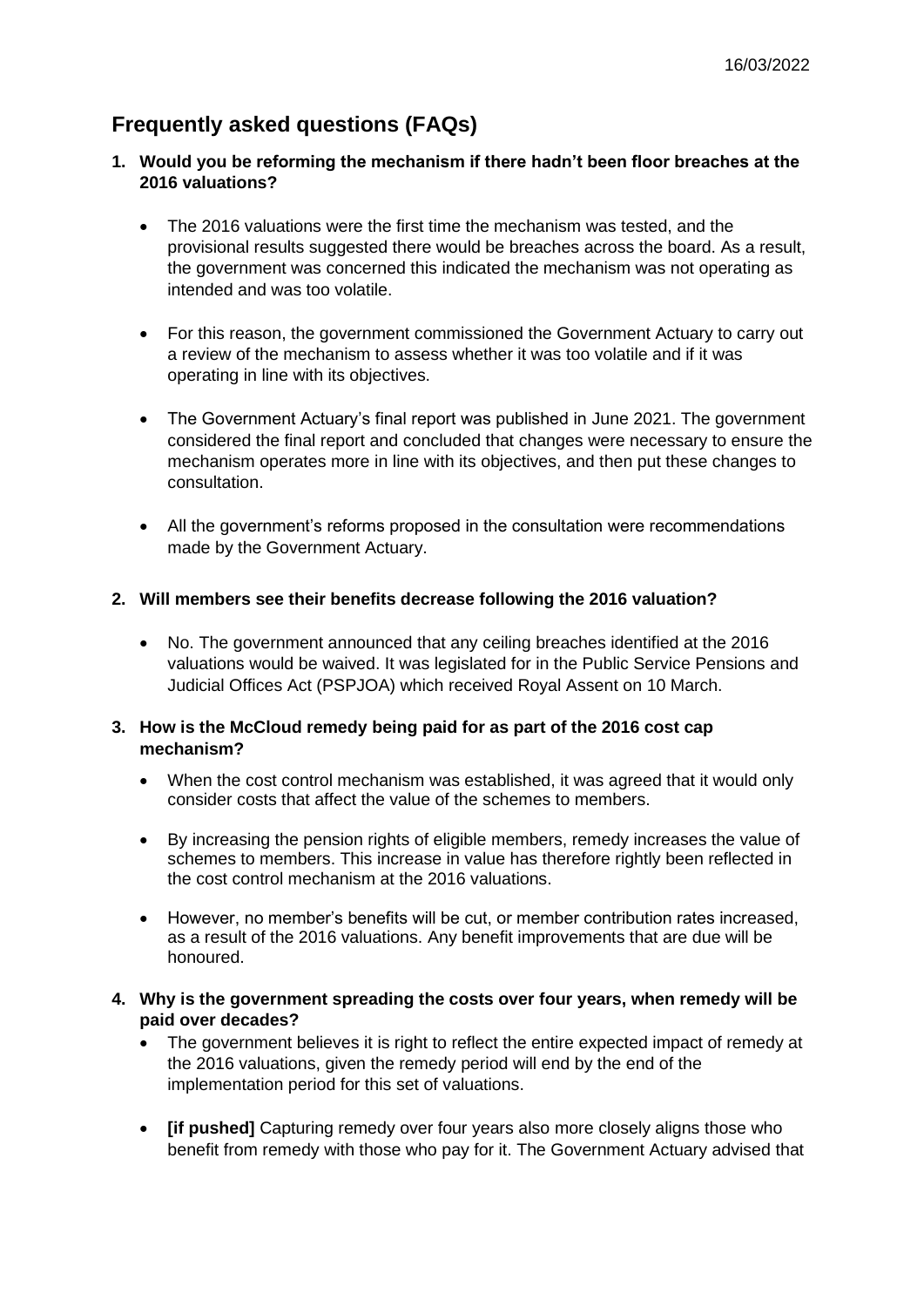# **Frequently asked questions (FAQs)**

- **1. Would you be reforming the mechanism if there hadn't been floor breaches at the 2016 valuations?**
	- The 2016 valuations were the first time the mechanism was tested, and the provisional results suggested there would be breaches across the board. As a result, the government was concerned this indicated the mechanism was not operating as intended and was too volatile.
	- For this reason, the government commissioned the Government Actuary to carry out a review of the mechanism to assess whether it was too volatile and if it was operating in line with its objectives.
	- The Government Actuary's final report was published in June 2021. The government considered the final report and concluded that changes were necessary to ensure the mechanism operates more in line with its objectives, and then put these changes to consultation.
	- All the government's reforms proposed in the consultation were recommendations made by the Government Actuary.

#### **2. Will members see their benefits decrease following the 2016 valuation?**

• No. The government announced that any ceiling breaches identified at the 2016 valuations would be waived. It was legislated for in the Public Service Pensions and Judicial Offices Act (PSPJOA) which received Royal Assent on 10 March.

#### **3. How is the McCloud remedy being paid for as part of the 2016 cost cap mechanism?**

- When the cost control mechanism was established, it was agreed that it would only consider costs that affect the value of the schemes to members.
- By increasing the pension rights of eligible members, remedy increases the value of schemes to members. This increase in value has therefore rightly been reflected in the cost control mechanism at the 2016 valuations.
- However, no member's benefits will be cut, or member contribution rates increased, as a result of the 2016 valuations. Any benefit improvements that are due will be honoured.
- **4. Why is the government spreading the costs over four years, when remedy will be paid over decades?**
	- The government believes it is right to reflect the entire expected impact of remedy at the 2016 valuations, given the remedy period will end by the end of the implementation period for this set of valuations.
	- **[if pushed]** Capturing remedy over four years also more closely aligns those who benefit from remedy with those who pay for it. The Government Actuary advised that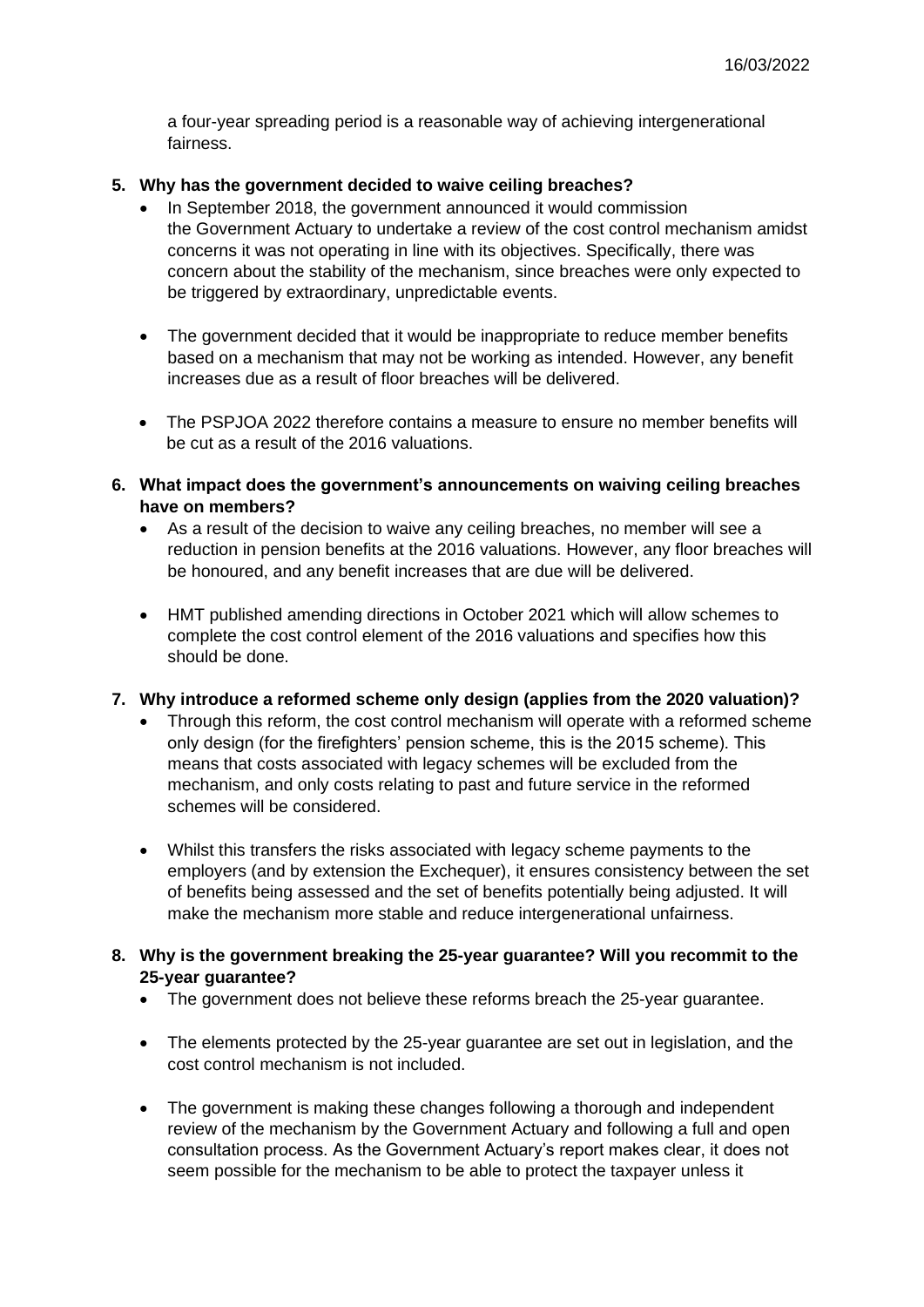a four-year spreading period is a reasonable way of achieving intergenerational fairness.

#### **5. Why has the government decided to waive ceiling breaches?**

- In September 2018, the government announced it would commission the Government Actuary to undertake a review of the cost control mechanism amidst concerns it was not operating in line with its objectives. Specifically, there was concern about the stability of the mechanism, since breaches were only expected to be triggered by extraordinary, unpredictable events.
- The government decided that it would be inappropriate to reduce member benefits based on a mechanism that may not be working as intended. However, any benefit increases due as a result of floor breaches will be delivered.
- The PSPJOA 2022 therefore contains a measure to ensure no member benefits will be cut as a result of the 2016 valuations.
- **6. What impact does the government's announcements on waiving ceiling breaches have on members?**
	- As a result of the decision to waive any ceiling breaches, no member will see a reduction in pension benefits at the 2016 valuations. However, any floor breaches will be honoured, and any benefit increases that are due will be delivered.
	- HMT published amending directions in October 2021 which will allow schemes to complete the cost control element of the 2016 valuations and specifies how this should be done.
- **7. Why introduce a reformed scheme only design (applies from the 2020 valuation)?**
	- Through this reform, the cost control mechanism will operate with a reformed scheme only design (for the firefighters' pension scheme, this is the 2015 scheme). This means that costs associated with legacy schemes will be excluded from the mechanism, and only costs relating to past and future service in the reformed schemes will be considered.
	- Whilst this transfers the risks associated with legacy scheme payments to the employers (and by extension the Exchequer), it ensures consistency between the set of benefits being assessed and the set of benefits potentially being adjusted. It will make the mechanism more stable and reduce intergenerational unfairness.
- **8. Why is the government breaking the 25-year guarantee? Will you recommit to the 25-year guarantee?**
	- The government does not believe these reforms breach the 25-year guarantee.
	- The elements protected by the 25-year guarantee are set out in legislation, and the cost control mechanism is not included.
	- The government is making these changes following a thorough and independent review of the mechanism by the Government Actuary and following a full and open consultation process. As the Government Actuary's report makes clear, it does not seem possible for the mechanism to be able to protect the taxpayer unless it